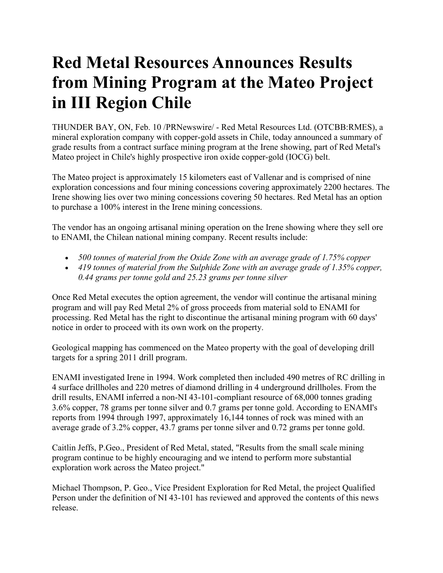## **Red Metal Resources Announces Results from Mining Program at the Mateo Project in III Region Chile**

THUNDER BAY, ON, Feb. 10 /PRNewswire/ - Red Metal Resources Ltd. (OTCBB:RMES), a mineral exploration company with copper-gold assets in Chile, today announced a summary of grade results from a contract surface mining program at the Irene showing, part of Red Metal's Mateo project in Chile's highly prospective iron oxide copper-gold (IOCG) belt.

The Mateo project is approximately 15 kilometers east of Vallenar and is comprised of nine exploration concessions and four mining concessions covering approximately 2200 hectares. The Irene showing lies over two mining concessions covering 50 hectares. Red Metal has an option to purchase a 100% interest in the Irene mining concessions.

The vendor has an ongoing artisanal mining operation on the Irene showing where they sell ore to ENAMI, the Chilean national mining company. Recent results include:

- *500 tonnes of material from the Oxide Zone with an average grade of 1.75% copper*
- *419 tonnes of material from the Sulphide Zone with an average grade of 1.35% copper, 0.44 grams per tonne gold and 25.23 grams per tonne silver*

Once Red Metal executes the option agreement, the vendor will continue the artisanal mining program and will pay Red Metal 2% of gross proceeds from material sold to ENAMI for processing. Red Metal has the right to discontinue the artisanal mining program with 60 days' notice in order to proceed with its own work on the property.

Geological mapping has commenced on the Mateo property with the goal of developing drill targets for a spring 2011 drill program.

ENAMI investigated Irene in 1994. Work completed then included 490 metres of RC drilling in 4 surface drillholes and 220 metres of diamond drilling in 4 underground drillholes. From the drill results, ENAMI inferred a non-NI 43-101-compliant resource of 68,000 tonnes grading 3.6% copper, 78 grams per tonne silver and 0.7 grams per tonne gold. According to ENAMI's reports from 1994 through 1997, approximately 16,144 tonnes of rock was mined with an average grade of 3.2% copper, 43.7 grams per tonne silver and 0.72 grams per tonne gold.

Caitlin Jeffs, P.Geo., President of Red Metal, stated, "Results from the small scale mining program continue to be highly encouraging and we intend to perform more substantial exploration work across the Mateo project."

Michael Thompson, P. Geo., Vice President Exploration for Red Metal, the project Qualified Person under the definition of NI 43-101 has reviewed and approved the contents of this news release.